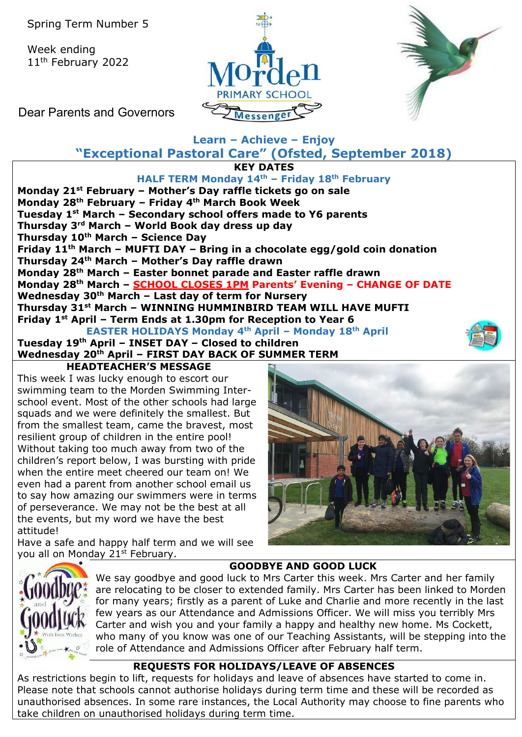Week ending 11<sup>th</sup> February 2022





Dear Parents and Governors

# **Learn – Achieve – Enjoy "Exceptional Pastoral Care" (Ofsted, September 2018)**

**KEY DATES**

**HALF TERM Monday 14th – Friday 18th February Monday 21st February – Mother's Day raffle tickets go on sale Monday 28th February – Friday 4th March Book Week Tuesday 1st March – Secondary school offers made to Y6 parents Thursday 3rd March – World Book day dress up day Thursday 10th March – Science Day Friday 11th March – MUFTI DAY – Bring in a chocolate egg/gold coin donation Thursday 24th March – Mother's Day raffle drawn Monday 28th March – Easter bonnet parade and Easter raffle drawn Monday 28th March – SCHOOL CLOSES 1PM Parents' Evening – CHANGE OF DATE Wednesday 30th March – Last day of term for Nursery Thursday 31st March – WINNING HUMMINBIRD TEAM WILL HAVE MUFTI Friday 1st April – Term Ends at 1.30pm for Reception to Year 6 EASTER HOLIDAYS Monday 4th April – Monday 18th April**

**Tuesday 19th April – INSET DAY – Closed to children Wednesday 20th April – FIRST DAY BACK OF SUMMER TERM HEADTEACHER'S MESSAGE** 

This week I was lucky enough to escort our swimming team to the Morden Swimming Interschool event. Most of the other schools had large squads and we were definitely the smallest. But from the smallest team, came the bravest, most resilient group of children in the entire pool! Without taking too much away from two of the children's report below, I was bursting with pride when the entire meet cheered our team on! We even had a parent from another school email us to say how amazing our swimmers were in terms of perseverance. We may not be the best at all the events, but my word we have the best attitude!

Have a safe and happy half term and we will see you all on Monday 21<sup>st</sup> February.



# **GOODBYE AND GOOD LUCK**

We say goodbye and good luck to Mrs Carter this week. Mrs Carter and her family are relocating to be closer to extended family. Mrs Carter has been linked to Morden for many years; firstly as a parent of Luke and Charlie and more recently in the last few years as our Attendance and Admissions Officer. We will miss you terribly Mrs Carter and wish you and your family a happy and healthy new home. Ms Cockett, who many of you know was one of our Teaching Assistants, will be stepping into the role of Attendance and Admissions Officer after February half term.

## **REQUESTS FOR HOLIDAYS/LEAVE OF ABSENCES**

As restrictions begin to lift, requests for holidays and leave of absences have started to come in. Please note that schools cannot authorise holidays during term time and these will be recorded as unauthorised absences. In some rare instances, the Local Authority may choose to fine parents who take children on unauthorised holidays during term time.

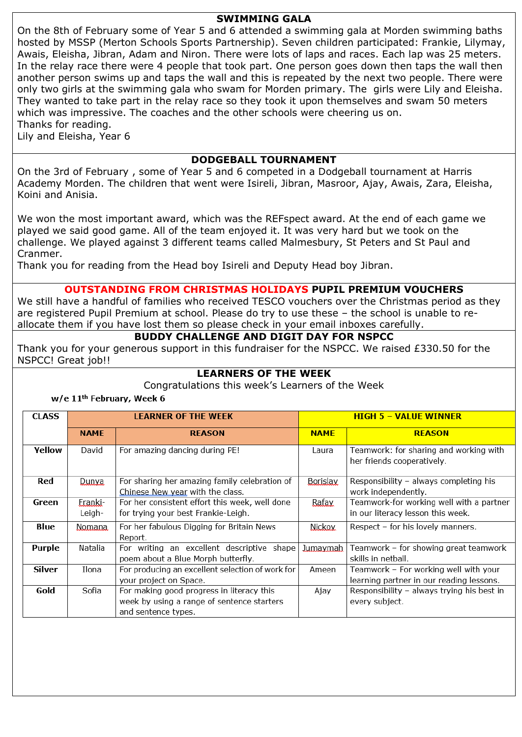## **SWIMMING GALA**

On the 8th of February some of Year 5 and 6 attended a swimming gala at Morden swimming baths hosted by MSSP (Merton Schools Sports Partnership). Seven children participated: Frankie, Lilymay, Awais, Eleisha, Jibran, Adam and Niron. There were lots of laps and races. Each lap was 25 meters. In the relay race there were 4 people that took part. One person goes down then taps the wall then another person swims up and taps the wall and this is repeated by the next two people. There were only two girls at the swimming gala who swam for Morden primary. The girls were Lily and Eleisha. They wanted to take part in the relay race so they took it upon themselves and swam 50 meters which was impressive. The coaches and the other schools were cheering us on. Thanks for reading.

Lily and Eleisha, Year 6

## **DODGEBALL TOURNAMENT**

On the 3rd of February , some of Year 5 and 6 competed in a Dodgeball tournament at Harris Academy Morden. The children that went were Isireli, Jibran, Masroor, Ajay, Awais, Zara, Eleisha, Koini and Anisia.

We won the most important award, which was the REFspect award. At the end of each game we played we said good game. All of the team enjoyed it. It was very hard but we took on the challenge. We played against 3 different teams called Malmesbury, St Peters and St Paul and Cranmer.

Thank you for reading from the Head boy Isireli and Deputy Head boy Jibran.

## **OUTSTANDING FROM CHRISTMAS HOLIDAYS PUPIL PREMIUM VOUCHERS**

We still have a handful of families who received TESCO vouchers over the Christmas period as they are registered Pupil Premium at school. Please do try to use these – the school is unable to reallocate them if you have lost them so please check in your email inboxes carefully.

#### **BUDDY CHALLENGE AND DIGIT DAY FOR NSPCC**

Thank you for your generous support in this fundraiser for the NSPCC. We raised £330.50 for the NSPCC! Great job!!

## **LEARNERS OF THE WEEK**

Congratulations this week's Learners of the Week

#### w/e 11<sup>th</sup> February, Week 6

| <b>CLASS</b>  |                   | <b>LEARNER OF THE WEEK</b>                                                                                     | <b>HIGH 5 - VALUE WINNER</b> |                                                                                   |  |  |
|---------------|-------------------|----------------------------------------------------------------------------------------------------------------|------------------------------|-----------------------------------------------------------------------------------|--|--|
|               | <b>NAME</b>       | <b>REASON</b>                                                                                                  | <b>NAME</b>                  | <b>REASON</b>                                                                     |  |  |
| Yellow        | David             | For amazing dancing during PE!                                                                                 | Laura                        | Teamwork: for sharing and working with<br>her friends cooperatively.              |  |  |
| Red           | Dunya             | For sharing her amazing family celebration of<br>Chinese New year with the class.                              | <b>Borislay</b>              | Responsibility - always completing his<br>work independently.                     |  |  |
| Green         | Eranki-<br>Leigh- | For her consistent effort this week, well done<br>for trying your best Frankie-Leigh.                          | Rafay                        | Teamwork-for working well with a partner<br>in our literacy lesson this week.     |  |  |
| <b>Blue</b>   | Nomana.           | For her fabulous Digging for Britain News<br>Report.                                                           | <b>Nickov</b>                | Respect - for his lovely manners.                                                 |  |  |
| Purple        | Natalia           | For writing an excellent descriptive shape<br>poem about a Blue Morph butterfly.                               | <u>Jumaymah</u>              | Teamwork - for showing great teamwork<br>skills in netball.                       |  |  |
| <b>Silver</b> | Ilona             | For producing an excellent selection of work for<br>your project on Space.                                     | Ameen                        | Teamwork - For working well with your<br>learning partner in our reading lessons. |  |  |
| Gold          | Sofia             | For making good progress in literacy this<br>week by using a range of sentence starters<br>and sentence types. | Ajay                         | Responsibility - always trying his best in<br>every subject.                      |  |  |